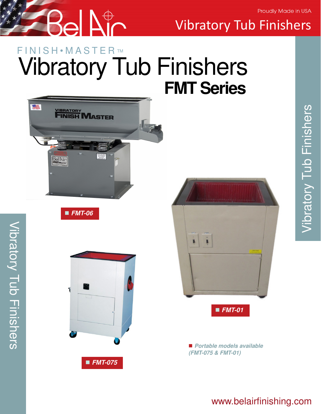Proudly Made in USA



Vibratory Tub Finishers

# F I N I S H • M A S T E R ™ Vibratory Tub Finishers **FMT Series**



**FMT-06**

Vibratory Tub Finishers

Vibratory Tub Finishers





■ Portable models available **(FMT-075 & FMT-01)**

# Vibratory Tub Finishers Vibratory Tub Finishers

## www.belairfinishing.com